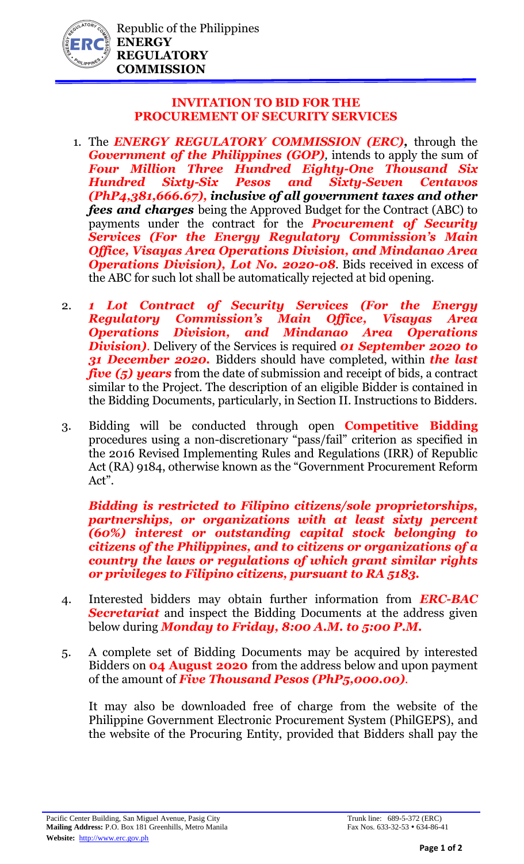

## **INVITATION TO BID FOR THE PROCUREMENT OF SECURITY SERVICES**

- 1. The *ENERGY REGULATORY COMMISSION (ERC),* through the *Government of the Philippines (GOP),* intends to apply the sum of *Four Million Three Hundred Eighty-One Thousand Six Hundred Sixty-Six Pesos and Sixty-Seven Centavos (PhP4,381,666.67), inclusive of all government taxes and other fees and charges* being the Approved Budget for the Contract (ABC) to payments under the contract for the *Procurement of Security Services (For the Energy Regulatory Commission's Main Office, Visayas Area Operations Division, and Mindanao Area*  **Operations Division), Lot No. 2020-08.** Bids received in excess of the ABC for such lot shall be automatically rejected at bid opening.
- 2. *1 Lot Contract of Security Services (For the Energy Regulatory Commission's Main Office, Visayas Area Operations Division, and Mindanao Area Operations Division)*. Delivery of the Services is required *01 September 2020 to 31 December 2020.* Bidders should have completed, within *the last five (5) years* from the date of submission and receipt of bids, a contract similar to the Project. The description of an eligible Bidder is contained in the Bidding Documents, particularly, in Section II. Instructions to Bidders.
- 3. Bidding will be conducted through open **Competitive Bidding** procedures using a non-discretionary "pass/fail" criterion as specified in the 2016 Revised Implementing Rules and Regulations (IRR) of Republic Act (RA) 9184, otherwise known as the "Government Procurement Reform Act".

*Bidding is restricted to Filipino citizens/sole proprietorships, partnerships, or organizations with at least sixty percent (60%) interest or outstanding capital stock belonging to citizens of the Philippines, and to citizens or organizations of a country the laws or regulations of which grant similar rights or privileges to Filipino citizens, pursuant to RA 5183.* 

- 4. Interested bidders may obtain further information from *ERC-BAC Secretariat* and inspect the Bidding Documents at the address given below during *Monday to Friday, 8:00 A.M. to 5:00 P.M.*
- 5. A complete set of Bidding Documents may be acquired by interested Bidders on **04 August 2020** from the address below and upon payment of the amount of *Five Thousand Pesos (PhP5,000.00).*

It may also be downloaded free of charge from the website of the Philippine Government Electronic Procurement System (PhilGEPS), and the website of the Procuring Entity, provided that Bidders shall pay the